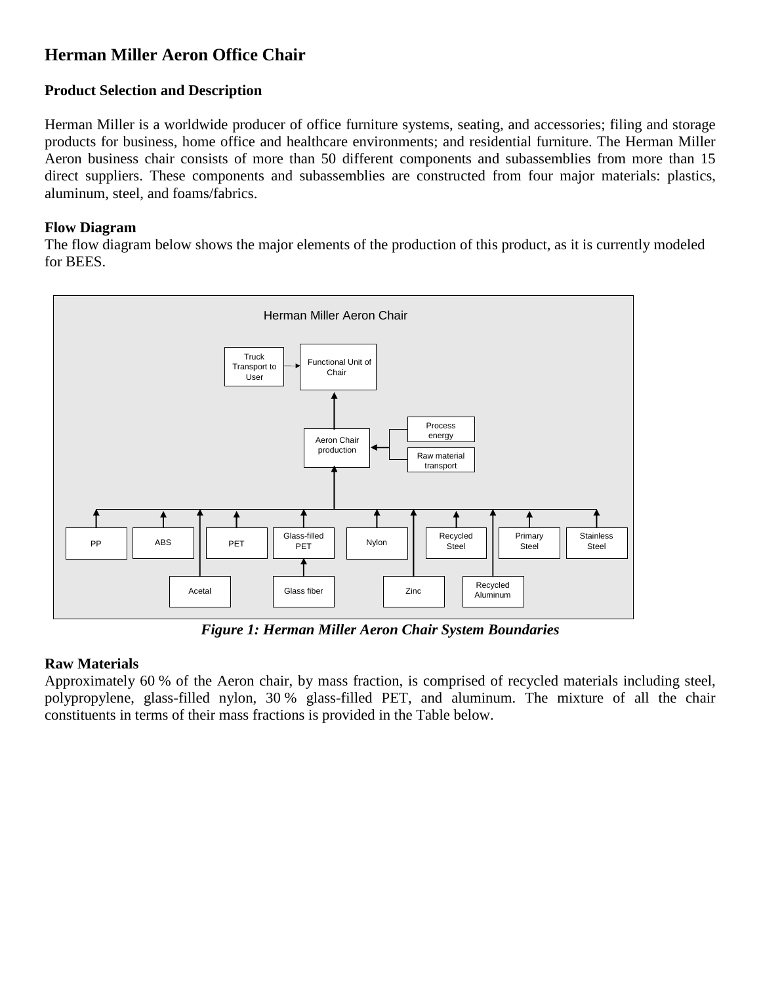# **Herman Miller Aeron Office Chair**

## **Product Selection and Description**

Herman Miller is a worldwide producer of office furniture systems, seating, and accessories; filing and storage products for business, home office and healthcare environments; and residential furniture. The Herman Miller Aeron business chair consists of more than 50 different components and subassemblies from more than 15 direct suppliers. These components and subassemblies are constructed from four major materials: plastics, aluminum, steel, and foams/fabrics.

## **Flow Diagram**

The flow diagram below shows the major elements of the production of this product, as it is currently modeled for BEES.



*Figure 1: Herman Miller Aeron Chair System Boundaries*

## **Raw Materials**

Approximately 60 % of the Aeron chair, by mass fraction, is comprised of recycled materials including steel, polypropylene, glass-filled nylon, 30 % glass-filled PET, and aluminum. The mixture of all the chair constituents in terms of their mass fractions is provided in the Table below.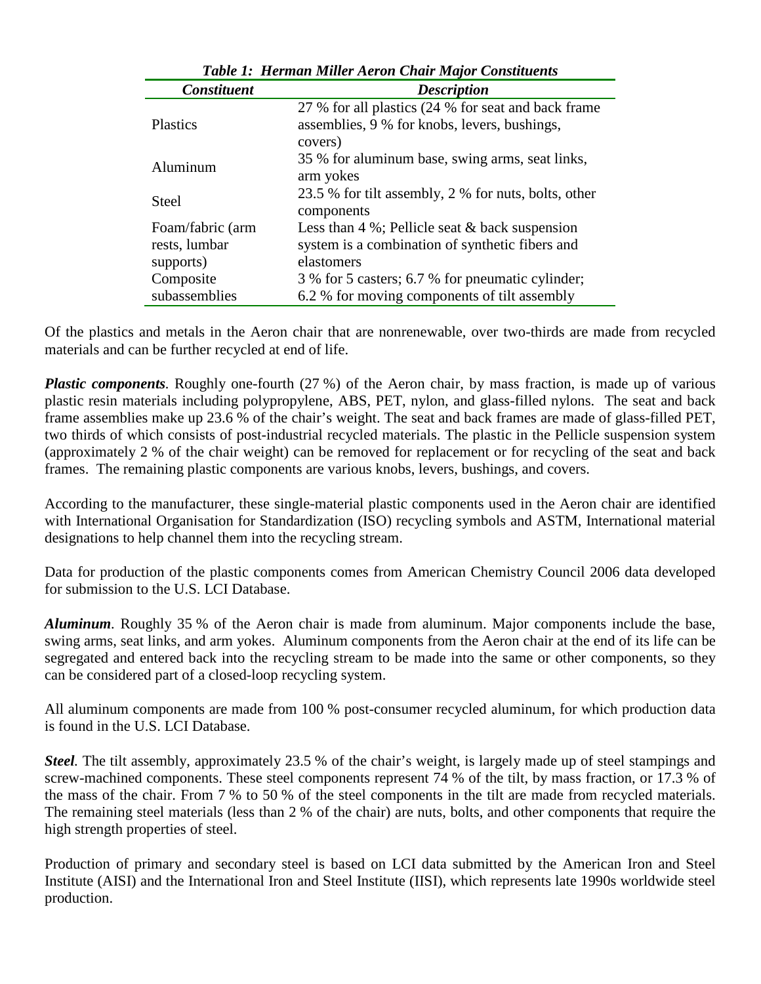| Twore It Herman minut her on Chain miapor Constructivs |                                                                                                                |
|--------------------------------------------------------|----------------------------------------------------------------------------------------------------------------|
| <b>Constituent</b>                                     | <b>Description</b>                                                                                             |
| <b>Plastics</b>                                        | 27 % for all plastics (24 % for seat and back frame<br>assemblies, 9 % for knobs, levers, bushings,<br>covers) |
| Aluminum                                               | 35 % for aluminum base, swing arms, seat links,<br>arm yokes                                                   |
| <b>Steel</b>                                           | 23.5 % for tilt assembly, 2 % for nuts, bolts, other<br>components                                             |
| Foam/fabric (arm                                       | Less than $4\%$ ; Pellicle seat $\&$ back suspension                                                           |
| rests, lumbar                                          | system is a combination of synthetic fibers and                                                                |
| supports)                                              | elastomers                                                                                                     |
| Composite                                              | 3 % for 5 casters; 6.7 % for pneumatic cylinder;                                                               |
| subassemblies                                          | 6.2 % for moving components of tilt assembly                                                                   |

*Table 1: Herman Miller Aeron Chair Major Constituents*

Of the plastics and metals in the Aeron chair that are nonrenewable, over two-thirds are made from recycled materials and can be further recycled at end of life.

*Plastic components*. Roughly one-fourth (27 %) of the Aeron chair, by mass fraction, is made up of various plastic resin materials including polypropylene, ABS, PET, nylon, and glass-filled nylons. The seat and back frame assemblies make up 23.6 % of the chair's weight. The seat and back frames are made of glass-filled PET, two thirds of which consists of post-industrial recycled materials. The plastic in the Pellicle suspension system (approximately 2 % of the chair weight) can be removed for replacement or for recycling of the seat and back frames. The remaining plastic components are various knobs, levers, bushings, and covers.

According to the manufacturer, these single-material plastic components used in the Aeron chair are identified with International Organisation for Standardization (ISO) recycling symbols and ASTM, International material designations to help channel them into the recycling stream.

Data for production of the plastic components comes from American Chemistry Council 2006 data developed for submission to the U.S. LCI Database.

*Aluminum.* Roughly 35 % of the Aeron chair is made from aluminum. Major components include the base, swing arms, seat links, and arm yokes. Aluminum components from the Aeron chair at the end of its life can be segregated and entered back into the recycling stream to be made into the same or other components, so they can be considered part of a closed-loop recycling system.

All aluminum components are made from 100 % post-consumer recycled aluminum, for which production data is found in the U.S. LCI Database.

*Steel.* The tilt assembly, approximately 23.5 % of the chair's weight, is largely made up of steel stampings and screw-machined components. These steel components represent 74 % of the tilt, by mass fraction, or 17.3 % of the mass of the chair. From 7 % to 50 % of the steel components in the tilt are made from recycled materials. The remaining steel materials (less than 2 % of the chair) are nuts, bolts, and other components that require the high strength properties of steel.

Production of primary and secondary steel is based on LCI data submitted by the American Iron and Steel Institute (AISI) and the International Iron and Steel Institute (IISI), which represents late 1990s worldwide steel production.